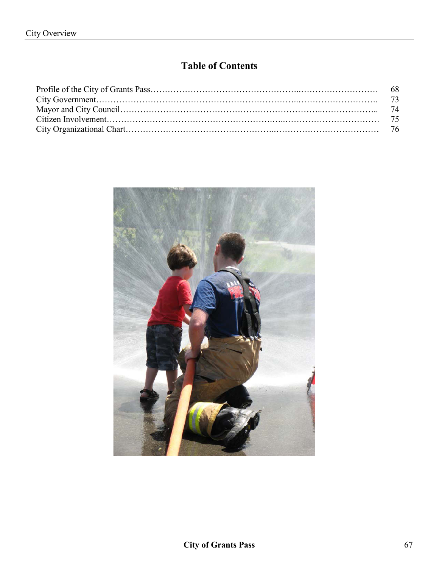# **Table of Contents**

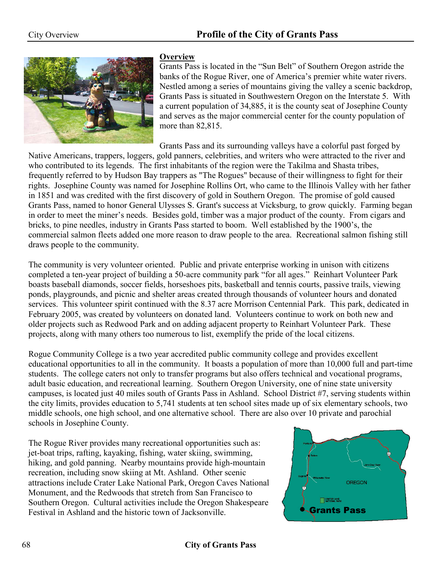

#### **Overview**

Grants Pass is located in the "Sun Belt" of Southern Oregon astride the banks of the Rogue River, one of America's premier white water rivers. Nestled among a series of mountains giving the valley a scenic backdrop, Grants Pass is situated in Southwestern Oregon on the Interstate 5. With a current population of 34,885, it is the county seat of Josephine County and serves as the major commercial center for the county population of more than 82,815.

Grants Pass and its surrounding valleys have a colorful past forged by

Native Americans, trappers, loggers, gold panners, celebrities, and writers who were attracted to the river and who contributed to its legends. The first inhabitants of the region were the Takilma and Shasta tribes, frequently referred to by Hudson Bay trappers as "The Rogues" because of their willingness to fight for their rights. Josephine County was named for Josephine Rollins Ort, who came to the Illinois Valley with her father in 1851 and was credited with the first discovery of gold in Southern Oregon. The promise of gold caused Grants Pass, named to honor General Ulysses S. Grant's success at Vicksburg, to grow quickly. Farming began in order to meet the miner's needs. Besides gold, timber was a major product of the county. From cigars and bricks, to pine needles, industry in Grants Pass started to boom. Well established by the 1900's, the commercial salmon fleets added one more reason to draw people to the area. Recreational salmon fishing still draws people to the community.

The community is very volunteer oriented. Public and private enterprise working in unison with citizens completed a ten-year project of building a 50-acre community park "for all ages." Reinhart Volunteer Park boasts baseball diamonds, soccer fields, horseshoes pits, basketball and tennis courts, passive trails, viewing ponds, playgrounds, and picnic and shelter areas created through thousands of volunteer hours and donated services. This volunteer spirit continued with the 8.37 acre Morrison Centennial Park. This park, dedicated in February 2005, was created by volunteers on donated land. Volunteers continue to work on both new and older projects such as Redwood Park and on adding adjacent property to Reinhart Volunteer Park. These projects, along with many others too numerous to list, exemplify the pride of the local citizens.

Rogue Community College is a two year accredited public community college and provides excellent educational opportunities to all in the community. It boasts a population of more than 10,000 full and part-time students. The college caters not only to transfer programs but also offers technical and vocational programs, adult basic education, and recreational learning. Southern Oregon University, one of nine state university campuses, is located just 40 miles south of Grants Pass in Ashland. School District #7, serving students within the city limits, provides education to 5,741 students at ten school sites made up of six elementary schools, two middle schools, one high school, and one alternative school. There are also over 10 private and parochial schools in Josephine County.

The Rogue River provides many recreational opportunities such as: jet-boat trips, rafting, kayaking, fishing, water skiing, swimming, hiking, and gold panning. Nearby mountains provide high-mountain recreation, including snow skiing at Mt. Ashland. Other scenic attractions include Crater Lake National Park, Oregon Caves National Monument, and the Redwoods that stretch from San Francisco to Southern Oregon. Cultural activities include the Oregon Shakespeare Festival in Ashland and the historic town of Jacksonville.  $\blacksquare$ 

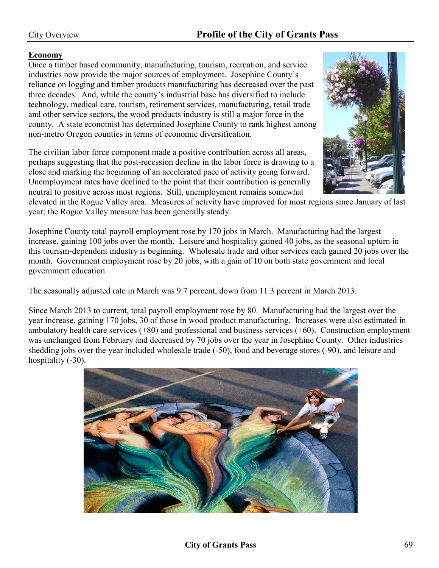#### **Economy**

Once a timber based community, manufacturing, tourism, recreation, and service industries now provide the major sources of employment. Josephine County's reliance on logging and timber products manufacturing has decreased over the past three decades. And, while the county's industrial base has diversified to include technology, medical care, tourism, retirement services, manufacturing, retail trade and other service sectors, the wood products industry is still a major force in the county. A state economist has determined Josephine County to rank highest among non-metro Oregon counties in terms of economic diversification.

The civilian labor force component made a positive contribution across all areas, perhaps suggesting that the post-recession decline in the labor force is drawing to a close and marking the beginning of an accelerated pace of activity going forward. Unemployment rates have declined to the point that their contribution is generally neutral to positive across most regions. Still, unemployment remains somewhat

elevated in the Rogue Valley area. Measures of activity have improved for most regions since January of last year; the Rogue Valley measure has been generally steady.

Josephine County total payroll employment rose by 170 jobs in March. Manufacturing had the largest increase, gaining 100 jobs over the month. Leisure and hospitality gained 40 jobs, as the seasonal upturn in this tourism-dependent industry is beginning. Wholesale trade and other services each gained 20 jobs over the month. Government employment rose by 20 jobs, with a gain of 10 on both state government and local government education.

The seasonally adjusted rate in March was 9.7 percent, down from 11.3 percent in March 2013.

Since March 2013 to current, total payroll employment rose by 80. Manufacturing had the largest over the year increase, gaining 170 jobs, 30 of those in wood product manufacturing. Increases were also estimated in ambulatory health care services (+80) and professional and business services (+60). Construction employment was unchanged from February and decreased by 70 jobs over the year in Josephine County. Other industries shedding jobs over the year included wholesale trade (-50), food and beverage stores (-90), and leisure and hospitality  $(-30)$ .



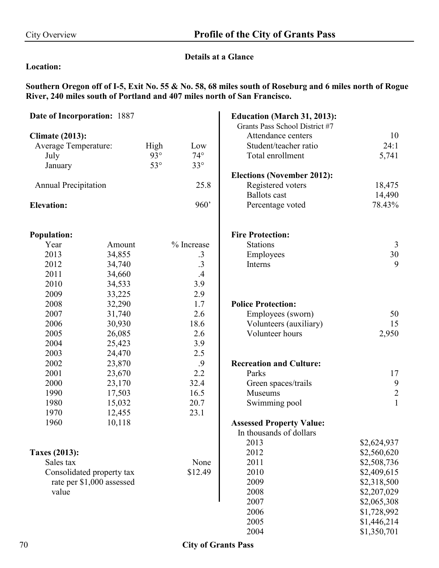### **Details at a Glance**

#### **Location:**

**Southern Oregon off of I-5, Exit No. 55 & No. 58, 68 miles south of Roseburg and 6 miles north of Rogue River, 240 miles south of Portland and 407 miles north of San Francisco.** 

| <b>Date of Incorporation: 1887</b>                                                                                                 |                                                                                                                                                                      |            |                                                                                           | <b>Education (March 31, 2013):</b>                                                                                                                                                                                                                            |                                                                                                                                                                                                                |
|------------------------------------------------------------------------------------------------------------------------------------|----------------------------------------------------------------------------------------------------------------------------------------------------------------------|------------|-------------------------------------------------------------------------------------------|---------------------------------------------------------------------------------------------------------------------------------------------------------------------------------------------------------------------------------------------------------------|----------------------------------------------------------------------------------------------------------------------------------------------------------------------------------------------------------------|
|                                                                                                                                    |                                                                                                                                                                      |            |                                                                                           | Grants Pass School District #7                                                                                                                                                                                                                                |                                                                                                                                                                                                                |
| <b>Climate (2013):</b>                                                                                                             |                                                                                                                                                                      |            |                                                                                           | Attendance centers                                                                                                                                                                                                                                            | 10                                                                                                                                                                                                             |
| <b>Average Temperature:</b>                                                                                                        |                                                                                                                                                                      | High       | Low                                                                                       | Student/teacher ratio                                                                                                                                                                                                                                         | 24:1                                                                                                                                                                                                           |
| July                                                                                                                               |                                                                                                                                                                      | $93^\circ$ | $74^\circ$                                                                                | Total enrollment                                                                                                                                                                                                                                              | 5,741                                                                                                                                                                                                          |
| January                                                                                                                            |                                                                                                                                                                      | $53^\circ$ | $33^\circ$                                                                                |                                                                                                                                                                                                                                                               |                                                                                                                                                                                                                |
|                                                                                                                                    |                                                                                                                                                                      |            |                                                                                           | <b>Elections (November 2012):</b>                                                                                                                                                                                                                             |                                                                                                                                                                                                                |
| <b>Annual Precipitation</b>                                                                                                        |                                                                                                                                                                      |            | 25.8                                                                                      | Registered voters                                                                                                                                                                                                                                             | 18,475                                                                                                                                                                                                         |
|                                                                                                                                    |                                                                                                                                                                      |            |                                                                                           | <b>Ballots</b> cast                                                                                                                                                                                                                                           | 14,490                                                                                                                                                                                                         |
| <b>Elevation:</b>                                                                                                                  |                                                                                                                                                                      |            | 960'                                                                                      | Percentage voted                                                                                                                                                                                                                                              | 78.43%                                                                                                                                                                                                         |
| <b>Population:</b>                                                                                                                 |                                                                                                                                                                      |            |                                                                                           | <b>Fire Protection:</b>                                                                                                                                                                                                                                       |                                                                                                                                                                                                                |
| Year                                                                                                                               | Amount                                                                                                                                                               |            | % Increase                                                                                | <b>Stations</b>                                                                                                                                                                                                                                               | 3                                                                                                                                                                                                              |
| 2013                                                                                                                               | 34,855                                                                                                                                                               |            | $\cdot$ 3                                                                                 | Employees                                                                                                                                                                                                                                                     | 30                                                                                                                                                                                                             |
| 2012                                                                                                                               | 34,740                                                                                                                                                               |            | $\cdot$ 3                                                                                 | Interns                                                                                                                                                                                                                                                       | 9                                                                                                                                                                                                              |
| 2011                                                                                                                               | 34,660                                                                                                                                                               |            | .4                                                                                        |                                                                                                                                                                                                                                                               |                                                                                                                                                                                                                |
| 2010                                                                                                                               | 34,533                                                                                                                                                               |            | 3.9                                                                                       |                                                                                                                                                                                                                                                               |                                                                                                                                                                                                                |
| 2009                                                                                                                               | 33,225                                                                                                                                                               |            | 2.9                                                                                       |                                                                                                                                                                                                                                                               |                                                                                                                                                                                                                |
| 2008                                                                                                                               | 32,290                                                                                                                                                               |            | 1.7                                                                                       | <b>Police Protection:</b>                                                                                                                                                                                                                                     |                                                                                                                                                                                                                |
| 2007                                                                                                                               | 31,740                                                                                                                                                               |            | 2.6                                                                                       | Employees (sworn)                                                                                                                                                                                                                                             | 50                                                                                                                                                                                                             |
|                                                                                                                                    |                                                                                                                                                                      |            |                                                                                           |                                                                                                                                                                                                                                                               |                                                                                                                                                                                                                |
|                                                                                                                                    |                                                                                                                                                                      |            |                                                                                           |                                                                                                                                                                                                                                                               |                                                                                                                                                                                                                |
|                                                                                                                                    |                                                                                                                                                                      |            |                                                                                           |                                                                                                                                                                                                                                                               |                                                                                                                                                                                                                |
|                                                                                                                                    |                                                                                                                                                                      |            |                                                                                           |                                                                                                                                                                                                                                                               |                                                                                                                                                                                                                |
|                                                                                                                                    |                                                                                                                                                                      |            |                                                                                           |                                                                                                                                                                                                                                                               |                                                                                                                                                                                                                |
|                                                                                                                                    |                                                                                                                                                                      |            |                                                                                           |                                                                                                                                                                                                                                                               |                                                                                                                                                                                                                |
|                                                                                                                                    |                                                                                                                                                                      |            |                                                                                           |                                                                                                                                                                                                                                                               |                                                                                                                                                                                                                |
|                                                                                                                                    |                                                                                                                                                                      |            |                                                                                           |                                                                                                                                                                                                                                                               |                                                                                                                                                                                                                |
|                                                                                                                                    |                                                                                                                                                                      |            |                                                                                           |                                                                                                                                                                                                                                                               |                                                                                                                                                                                                                |
|                                                                                                                                    |                                                                                                                                                                      |            |                                                                                           |                                                                                                                                                                                                                                                               |                                                                                                                                                                                                                |
|                                                                                                                                    |                                                                                                                                                                      |            |                                                                                           |                                                                                                                                                                                                                                                               |                                                                                                                                                                                                                |
|                                                                                                                                    |                                                                                                                                                                      |            |                                                                                           |                                                                                                                                                                                                                                                               |                                                                                                                                                                                                                |
|                                                                                                                                    |                                                                                                                                                                      |            |                                                                                           |                                                                                                                                                                                                                                                               |                                                                                                                                                                                                                |
|                                                                                                                                    |                                                                                                                                                                      |            |                                                                                           |                                                                                                                                                                                                                                                               |                                                                                                                                                                                                                |
|                                                                                                                                    |                                                                                                                                                                      |            |                                                                                           |                                                                                                                                                                                                                                                               |                                                                                                                                                                                                                |
|                                                                                                                                    |                                                                                                                                                                      |            |                                                                                           |                                                                                                                                                                                                                                                               |                                                                                                                                                                                                                |
|                                                                                                                                    |                                                                                                                                                                      |            |                                                                                           | 2009                                                                                                                                                                                                                                                          |                                                                                                                                                                                                                |
|                                                                                                                                    |                                                                                                                                                                      |            |                                                                                           |                                                                                                                                                                                                                                                               |                                                                                                                                                                                                                |
|                                                                                                                                    |                                                                                                                                                                      |            |                                                                                           |                                                                                                                                                                                                                                                               |                                                                                                                                                                                                                |
|                                                                                                                                    |                                                                                                                                                                      |            |                                                                                           |                                                                                                                                                                                                                                                               |                                                                                                                                                                                                                |
|                                                                                                                                    |                                                                                                                                                                      |            |                                                                                           | 2005                                                                                                                                                                                                                                                          |                                                                                                                                                                                                                |
|                                                                                                                                    |                                                                                                                                                                      |            |                                                                                           | 2004                                                                                                                                                                                                                                                          | \$1,350,701                                                                                                                                                                                                    |
| 2006<br>2005<br>2004<br>2003<br>2002<br>2001<br>2000<br>1990<br>1980<br>1970<br>1960<br><b>Taxes (2013):</b><br>Sales tax<br>value | 30,930<br>26,085<br>25,423<br>24,470<br>23,870<br>23,670<br>23,170<br>17,503<br>15,032<br>12,455<br>10,118<br>Consolidated property tax<br>rate per \$1,000 assessed |            | 18.6<br>2.6<br>3.9<br>2.5<br>.9<br>2.2<br>32.4<br>16.5<br>20.7<br>23.1<br>None<br>\$12.49 | Volunteers (auxiliary)<br>Volunteer hours<br><b>Recreation and Culture:</b><br>Parks<br>Green spaces/trails<br>Museums<br>Swimming pool<br><b>Assessed Property Value:</b><br>In thousands of dollars<br>2013<br>2012<br>2011<br>2010<br>2008<br>2007<br>2006 | 15<br>2,950<br>17<br>$\boldsymbol{9}$<br>$\overline{2}$<br>$\mathbf{1}$<br>\$2,624,937<br>\$2,560,620<br>\$2,508,736<br>\$2,409,615<br>\$2,318,500<br>\$2,207,029<br>\$2,065,308<br>\$1,728,992<br>\$1,446,214 |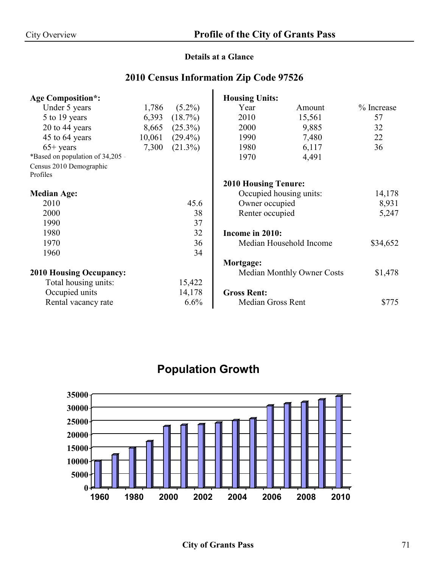## **Details at a Glance**

## **2010 Census Information Zip Code 97526**

| <b>Age Composition*:</b>         |        |            | <b>Housing Units:</b>       |                                   |            |
|----------------------------------|--------|------------|-----------------------------|-----------------------------------|------------|
| Under 5 years                    | 1,786  | $(5.2\%)$  | Year                        | Amount                            | % Increase |
| 5 to 19 years                    | 6,393  | $(18.7\%)$ | 2010                        | 15,561                            | 57         |
| 20 to 44 years                   | 8,665  | $(25.3\%)$ | 2000                        | 9,885                             | 32         |
| 45 to 64 years                   | 10,061 | $(29.4\%)$ | 1990                        | 7,480                             | 22         |
| $65+$ years                      | 7,300  | $(21.3\%)$ | 1980                        | 6,117                             | 36         |
| *Based on population of 34,205 - |        |            | 1970                        | 4,491                             |            |
| Census 2010 Demographic          |        |            |                             |                                   |            |
| Profiles                         |        |            |                             |                                   |            |
|                                  |        |            | <b>2010 Housing Tenure:</b> |                                   |            |
| <b>Median Age:</b>               |        |            | Occupied housing units:     |                                   | 14,178     |
| 2010                             |        | 45.6       | Owner occupied              |                                   | 8,931      |
| 2000                             |        | 38         | Renter occupied             |                                   | 5,247      |
| 1990                             |        | 37         |                             |                                   |            |
| 1980                             |        | 32         | Income in 2010:             |                                   |            |
| 1970                             |        | 36         |                             | Median Household Income           | \$34,652   |
| 1960                             |        | 34         |                             |                                   |            |
|                                  |        |            | Mortgage:                   |                                   |            |
| <b>2010 Housing Occupancy:</b>   |        |            |                             | <b>Median Monthly Owner Costs</b> | \$1,478    |
| Total housing units:             |        | 15,422     |                             |                                   |            |
| Occupied units                   |        | 14,178     | <b>Gross Rent:</b>          |                                   |            |
| Rental vacancy rate              |        | 6.6%       | <b>Median Gross Rent</b>    |                                   | \$775      |

# **Population Growth**

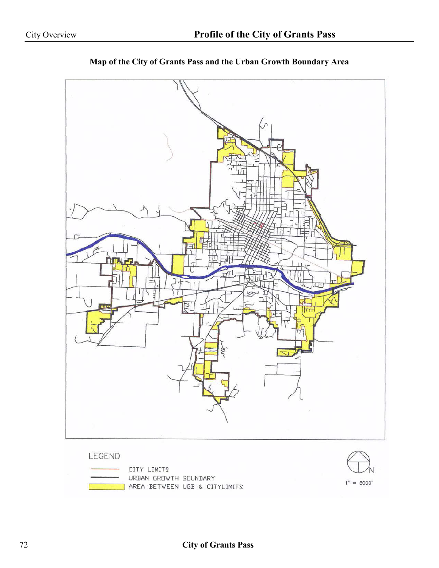

**Map of the City of Grants Pass and the Urban Growth Boundary Area**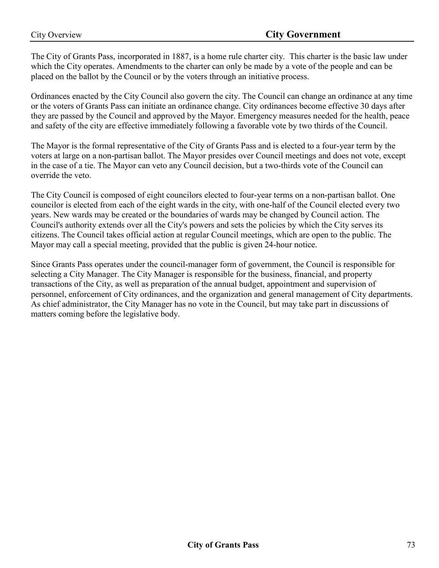The City of Grants Pass, incorporated in 1887, is a home rule charter city. This charter is the basic law under which the City operates. Amendments to the charter can only be made by a vote of the people and can be placed on the ballot by the Council or by the voters through an initiative process.

Ordinances enacted by the City Council also govern the city. The Council can change an ordinance at any time or the voters of Grants Pass can initiate an ordinance change. City ordinances become effective 30 days after they are passed by the Council and approved by the Mayor. Emergency measures needed for the health, peace and safety of the city are effective immediately following a favorable vote by two thirds of the Council.

The Mayor is the formal representative of the City of Grants Pass and is elected to a four-year term by the voters at large on a non-partisan ballot. The Mayor presides over Council meetings and does not vote, except in the case of a tie. The Mayor can veto any Council decision, but a two-thirds vote of the Council can override the veto.

The City Council is composed of eight councilors elected to four-year terms on a non-partisan ballot. One councilor is elected from each of the eight wards in the city, with one-half of the Council elected every two years. New wards may be created or the boundaries of wards may be changed by Council action. The Council's authority extends over all the City's powers and sets the policies by which the City serves its citizens. The Council takes official action at regular Council meetings, which are open to the public. The Mayor may call a special meeting, provided that the public is given 24-hour notice.

Since Grants Pass operates under the council-manager form of government, the Council is responsible for selecting a City Manager. The City Manager is responsible for the business, financial, and property transactions of the City, as well as preparation of the annual budget, appointment and supervision of personnel, enforcement of City ordinances, and the organization and general management of City departments. As chief administrator, the City Manager has no vote in the Council, but may take part in discussions of matters coming before the legislative body.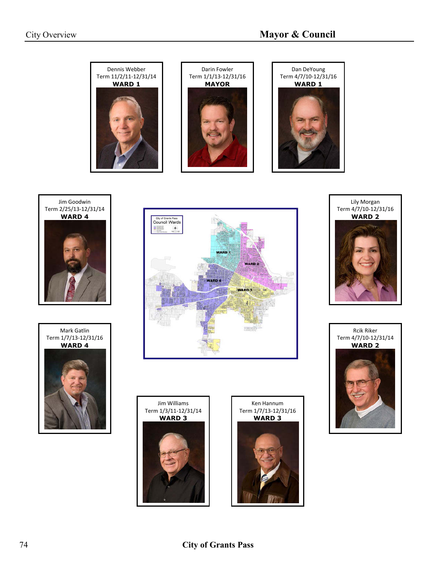















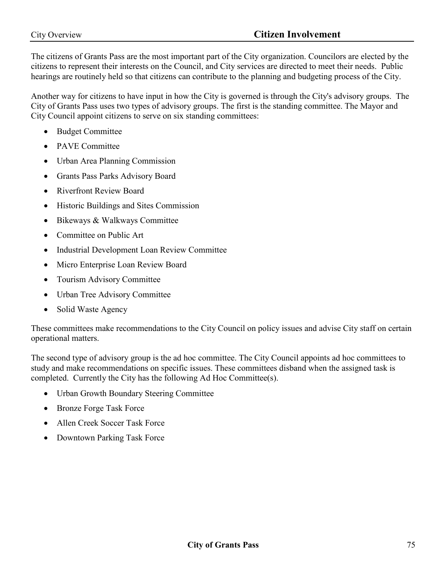The citizens of Grants Pass are the most important part of the City organization. Councilors are elected by the citizens to represent their interests on the Council, and City services are directed to meet their needs. Public hearings are routinely held so that citizens can contribute to the planning and budgeting process of the City.

Another way for citizens to have input in how the City is governed is through the City's advisory groups. The City of Grants Pass uses two types of advisory groups. The first is the standing committee. The Mayor and City Council appoint citizens to serve on six standing committees:

- Budget Committee
- PAVE Committee
- Urban Area Planning Commission
- Grants Pass Parks Advisory Board
- Riverfront Review Board
- Historic Buildings and Sites Commission
- Bikeways & Walkways Committee
- Committee on Public Art
- Industrial Development Loan Review Committee
- Micro Enterprise Loan Review Board
- Tourism Advisory Committee
- Urban Tree Advisory Committee
- Solid Waste Agency

These committees make recommendations to the City Council on policy issues and advise City staff on certain operational matters.

The second type of advisory group is the ad hoc committee. The City Council appoints ad hoc committees to study and make recommendations on specific issues. These committees disband when the assigned task is completed. Currently the City has the following Ad Hoc Committee(s).

- Urban Growth Boundary Steering Committee
- Bronze Forge Task Force
- Allen Creek Soccer Task Force
- Downtown Parking Task Force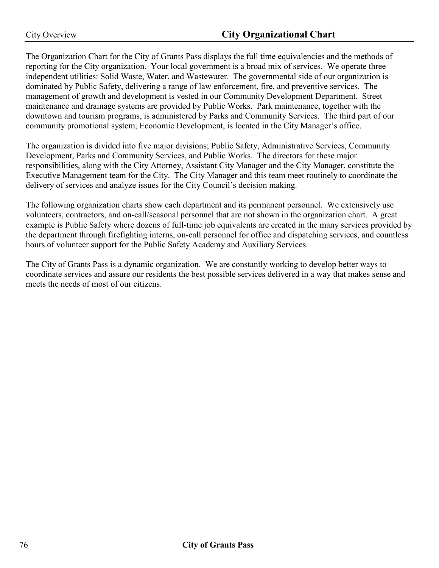The Organization Chart for the City of Grants Pass displays the full time equivalencies and the methods of reporting for the City organization. Your local government is a broad mix of services. We operate three independent utilities: Solid Waste, Water, and Wastewater. The governmental side of our organization is dominated by Public Safety, delivering a range of law enforcement, fire, and preventive services. The management of growth and development is vested in our Community Development Department. Street maintenance and drainage systems are provided by Public Works. Park maintenance, together with the downtown and tourism programs, is administered by Parks and Community Services. The third part of our community promotional system, Economic Development, is located in the City Manager's office.

The organization is divided into five major divisions; Public Safety, Administrative Services, Community Development, Parks and Community Services, and Public Works. The directors for these major responsibilities, along with the City Attorney, Assistant City Manager and the City Manager, constitute the Executive Management team for the City. The City Manager and this team meet routinely to coordinate the delivery of services and analyze issues for the City Council's decision making.

The following organization charts show each department and its permanent personnel. We extensively use volunteers, contractors, and on-call/seasonal personnel that are not shown in the organization chart. A great example is Public Safety where dozens of full-time job equivalents are created in the many services provided by the department through firefighting interns, on-call personnel for office and dispatching services, and countless hours of volunteer support for the Public Safety Academy and Auxiliary Services.

The City of Grants Pass is a dynamic organization. We are constantly working to develop better ways to coordinate services and assure our residents the best possible services delivered in a way that makes sense and meets the needs of most of our citizens.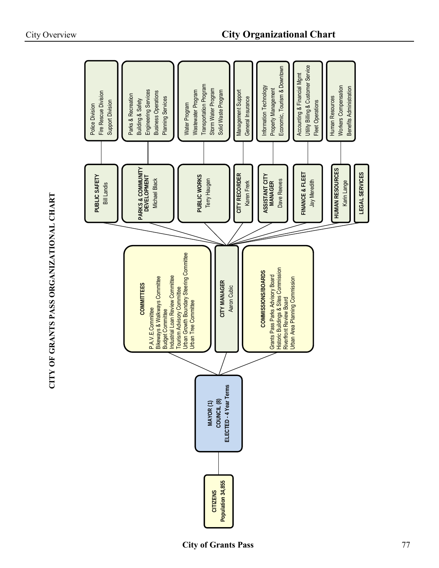| Fire Rescue Division<br>Support Division<br>Police Division | Engineering Services<br><b>Business Operations</b><br>Parks & Recreation<br>Planning Services<br>Building & Safety                     | <b>Transportation Program</b><br>Storm Water Program<br>Wastewater Program<br>Solid Waste Program<br>Water Program                   | Management Support<br>General Insurance | Economic, Tourism & Downtown<br>Information Technology<br>Property Management                                                     | Utility Billing & Customer Service<br>Accounting & Financial Mgmt<br><b>Fleet Operations</b> | Workers Compensation<br>Benefits Administration<br>Human Resources |                       |
|-------------------------------------------------------------|----------------------------------------------------------------------------------------------------------------------------------------|--------------------------------------------------------------------------------------------------------------------------------------|-----------------------------------------|-----------------------------------------------------------------------------------------------------------------------------------|----------------------------------------------------------------------------------------------|--------------------------------------------------------------------|-----------------------|
| PUBLIC SAFETY<br><b>Bill Landis</b>                         | PARKS & COMMUNITY<br>DEVELOPMENT<br><b>Michael Black</b>                                                                               | PUBLIC WORKS<br>Terry Haugen                                                                                                         | CITY RECORDER<br>Karen Frerk            | ASSISTANT CITY<br>Dave Reeves<br><b>MANAGER</b>                                                                                   | FINANCE & FLEET<br>Jay Meredith                                                              | <b>HUMAN RESOURCES</b><br>Karin Lange                              | <b>LEGAL SERVICES</b> |
|                                                             |                                                                                                                                        |                                                                                                                                      |                                         |                                                                                                                                   |                                                                                              |                                                                    |                       |
|                                                             | Industrial Loan Review Committee<br>Bikeways & Walkways Committee<br><b>COMMITTEES</b><br>P.A.V.E.Committee<br><b>Budget Committee</b> | Urban Growth Boundary Steering Committee<br>CITY MANAGER<br>Aaron Cubic<br>Tourism Advisory Committee<br><b>Urban Tree Committee</b> |                                         | Historic Buildings & Sites Commission<br>Riverfront Review Board<br><b>COMMISSIONS/BOARDS</b><br>Grants Pass Parks Advisory Board | <b>Jrban Area Planning Commission</b>                                                        |                                                                    |                       |
|                                                             |                                                                                                                                        |                                                                                                                                      |                                         |                                                                                                                                   |                                                                                              |                                                                    |                       |
|                                                             |                                                                                                                                        | ELECTED-4 Year Terms<br>COUNCIL <sup>(8)</sup><br>MAYOR (1)                                                                          |                                         |                                                                                                                                   |                                                                                              |                                                                    |                       |
|                                                             |                                                                                                                                        | Population 34,855<br>CITIZENS                                                                                                        |                                         |                                                                                                                                   |                                                                                              |                                                                    |                       |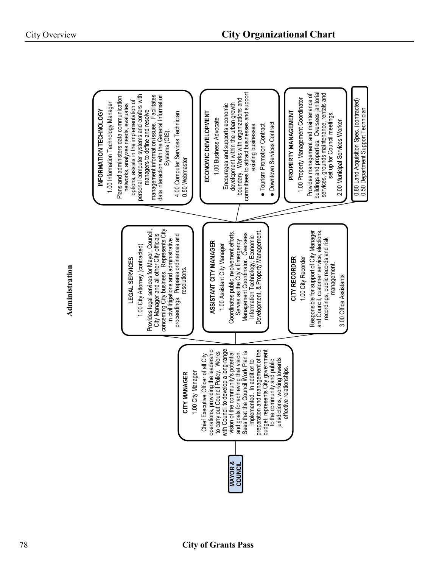**Administration**

Administration

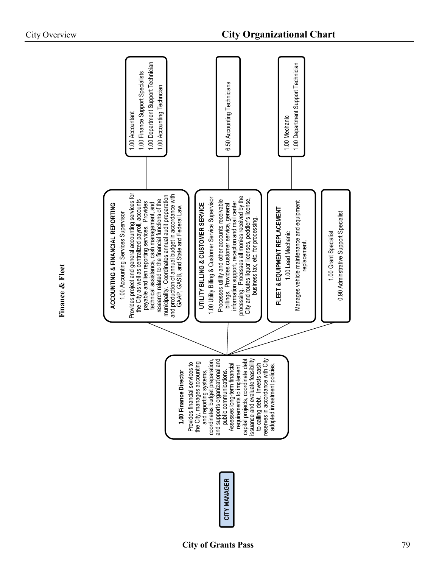| 1.00 Department Support Technician<br>1.00 Finance Support Specialists<br>1.00 Accounting Techncian<br>1.00 Accountant                                                                                                                                                                                                                                                                                                                                                                          | 6.50 Accounting Technicians                                                                                                                                                                                                                                                                                                                                                                                        | 1.00 Department Support Technician<br>1.00 Mechanic                                                             |                                                                |
|-------------------------------------------------------------------------------------------------------------------------------------------------------------------------------------------------------------------------------------------------------------------------------------------------------------------------------------------------------------------------------------------------------------------------------------------------------------------------------------------------|--------------------------------------------------------------------------------------------------------------------------------------------------------------------------------------------------------------------------------------------------------------------------------------------------------------------------------------------------------------------------------------------------------------------|-----------------------------------------------------------------------------------------------------------------|----------------------------------------------------------------|
| Provides project and general accounting services for<br>the City as well as centralized payroll, accounts<br>and production of annual budget in accordance with<br>GAAP, GASB, and State and Federal Law.<br>municipality. Coordinates annual audit preparation<br>research related to the financial functions of the<br>payable and lien reporting services. Provides<br>ACCOUNTING & FINANCIAL REPORTING<br>technical assistance, cash management, and<br>1.00 Accounting Services Supervisor | processing. Processes all monies received by the<br>1.00 Utility Billing & Customer Service Supervisor<br>City and routes liquor licenses, peddler's license,<br>Processes utility and other accounts receivable<br>UTILITY BILLING & CUSTOMER SERVICE<br>information support, reception and mail center<br>billings. Provides customer service, general<br>business tax, etc. for processing                      | Manages vehicle maintenance and equipment<br>FLEET & EQUIPMENT REPLACEMENT<br>1.00 Lead Mechanic<br>replacement | 0.90 Adminstrative Support Specialist<br>1.00 Grant Specialist |
| Provides financial services to<br>1.00 Finance Director                                                                                                                                                                                                                                                                                                                                                                                                                                         | ate debt<br>easibility<br>with City<br>onal and<br>and reporting systems,<br>coordinates budget preparation,<br>the City, manages accounting<br>Assesses long-term financial<br>requirements to implement<br>to calling debt. Invests cash<br>reserves in accordance with Cit<br>ons.<br>and supports organization<br>public communication<br>issuance and evaluate f<br>capital projects, coordir<br>CITY MANAGER | adopted investment policies.                                                                                    |                                                                |

**Finance & Fleet**

Finance & Fleet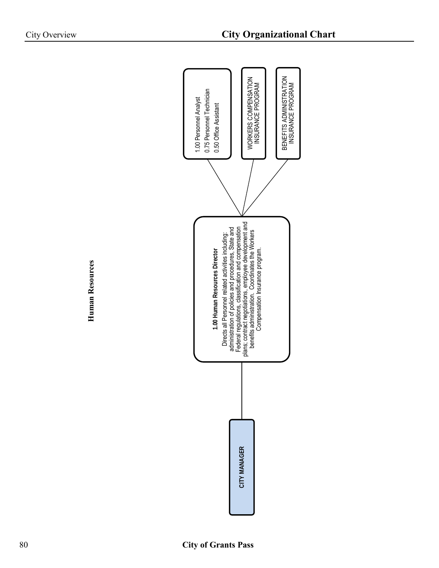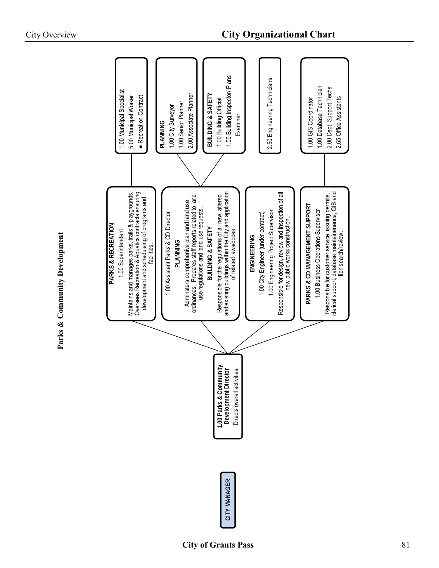| 1.00 Municipal Specialist<br>• Recreation Contract<br>5.00 Municipal Worker                                                                                                                                        | 1.00 Building Inspector/ Plans<br>2.00 Associate Planner<br>BUILDING & SAFETY<br>1.00 Building Official<br>1.00 Senior Planner<br>1.00 City Surveyor<br>Examiner<br>PLANNING                                                                                                                                                                                | 2.50 Engineering Technicians                                                                                                                                                        | 1.00 Database Technician<br>2.00 Dept. Support Techs<br>2.65 Office Assistants<br>1.00 GIS Coordinator                                                                                                  |
|--------------------------------------------------------------------------------------------------------------------------------------------------------------------------------------------------------------------|-------------------------------------------------------------------------------------------------------------------------------------------------------------------------------------------------------------------------------------------------------------------------------------------------------------------------------------------------------------|-------------------------------------------------------------------------------------------------------------------------------------------------------------------------------------|---------------------------------------------------------------------------------------------------------------------------------------------------------------------------------------------------------|
| Oversees Recreation & Aquatics contracts ensuring<br>Maintains and manages parks, trails & playgrounds.<br>development and scheduleing of programs and<br>PARKS & RECREATION<br>1.00 Superintendent<br>facilities. | and existing buildings within the City and application<br>Responsible for the regulations of all new, atlered<br>ordinances. Prepares staff reports related to land<br>use regulations and land use requests.<br>Adminsters comprehenive plan and land use<br>1.00 Assistant Parks & CD Director<br>BUILDING & SAFETY<br>of related laws/codes.<br>PLANNING | Responsible for design, review and inspection of all<br>1.00 Engineering Project Supervisor<br>1.00 City Engineer (under contract)<br>new public works construction.<br>ENGINEERING | clerical support, database maintainenance, GIS and<br>Responsible for customer service, issuing permits,<br>PARKS & CD MANAGEMENT SUPPORT<br>1.00 Business Operations Supervisor<br>lien search/review. |
|                                                                                                                                                                                                                    | .00 Parks & Community<br>Development Director<br>Directs overall activities.<br>1.00 Parks & Comm<br>CITY MANAGER                                                                                                                                                                                                                                           |                                                                                                                                                                                     |                                                                                                                                                                                                         |

**Parks & Community Development**

Parks & Community Development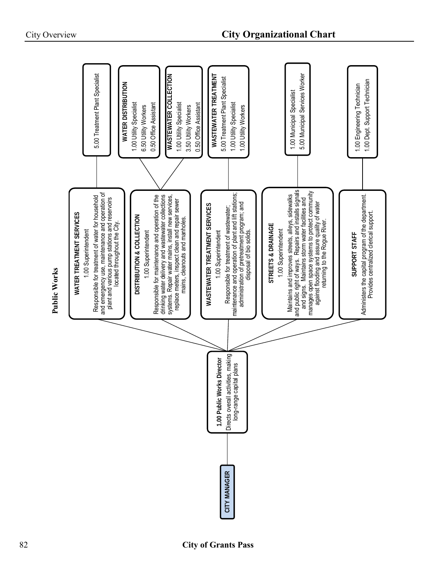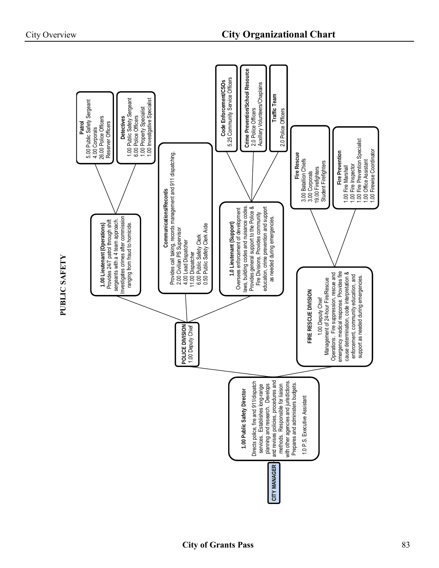

PUBLIC SAFETY **PUBLIC SAFETY**